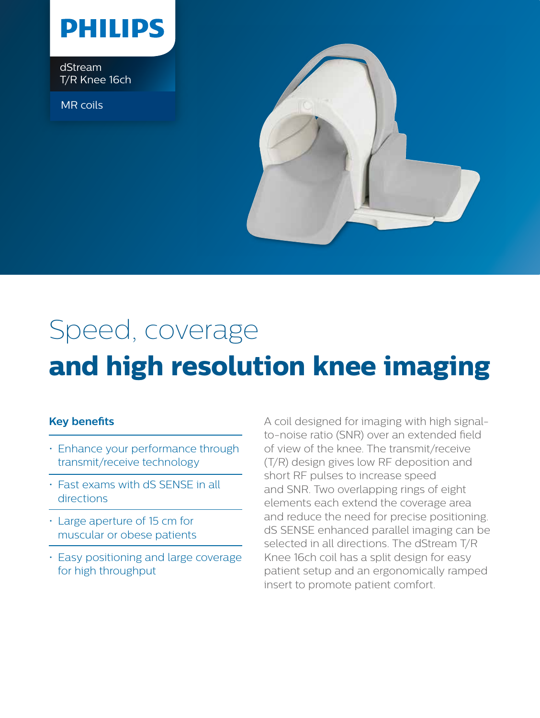

dStream T/R Knee 16ch

MR coils



## Speed, coverage **and high resolution knee imaging**

## **Key benefits**

- Enhance your performance through transmit/receive technology
- Fast exams with dS SENSE in all directions
- Large aperture of 15 cm for muscular or obese patients
- Easy positioning and large coverage for high throughput

A coil designed for imaging with high signalto-noise ratio (SNR) over an extended field of view of the knee. The transmit/receive (T/R) design gives low RF deposition and short RF pulses to increase speed and SNR. Two overlapping rings of eight elements each extend the coverage area and reduce the need for precise positioning. dS SENSE enhanced parallel imaging can be selected in all directions. The dStream T/R Knee 16ch coil has a split design for easy patient setup and an ergonomically ramped insert to promote patient comfort.